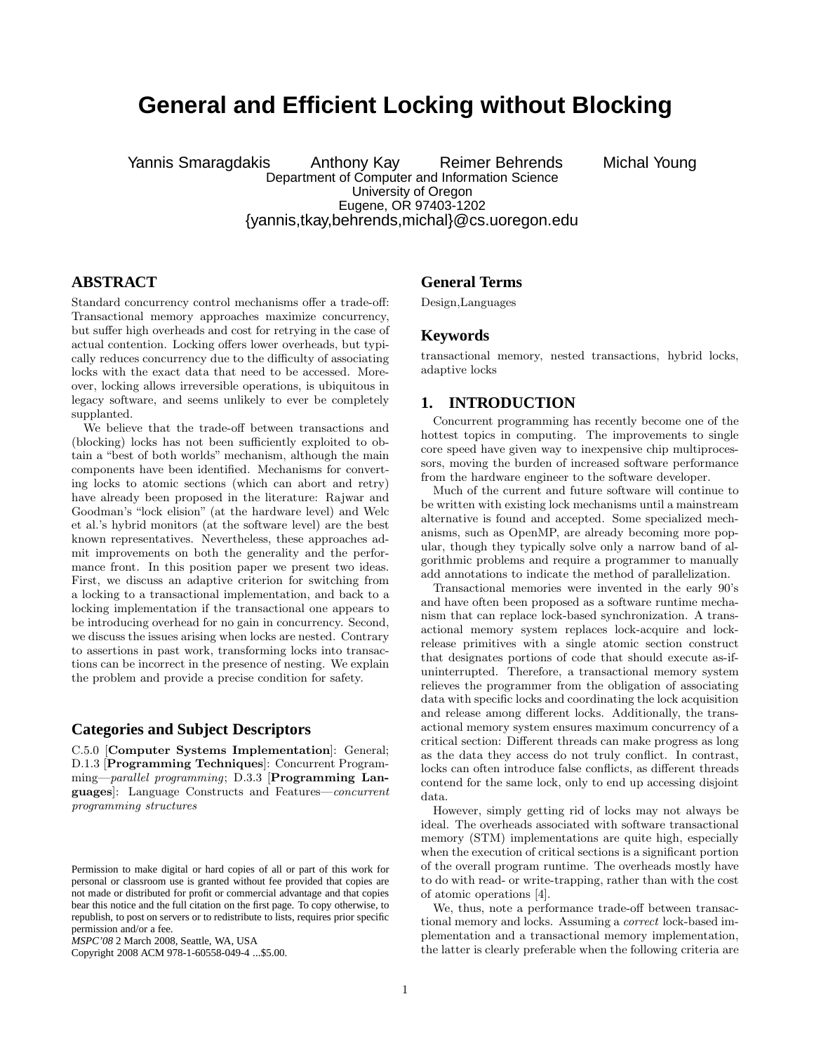# **General and Efficient Locking without Blocking**

Yannis Smaragdakis Anthony Kay Reimer Behrends Michal Young Department of Computer and Information Science University of Oregon Eugene, OR 97403-1202 {yannis,tkay,behrends,michal}@cs.uoregon.edu

# **ABSTRACT**

Standard concurrency control mechanisms offer a trade-off: Transactional memory approaches maximize concurrency, but suffer high overheads and cost for retrying in the case of actual contention. Locking offers lower overheads, but typically reduces concurrency due to the difficulty of associating locks with the exact data that need to be accessed. Moreover, locking allows irreversible operations, is ubiquitous in legacy software, and seems unlikely to ever be completely supplanted.

We believe that the trade-off between transactions and (blocking) locks has not been sufficiently exploited to obtain a "best of both worlds" mechanism, although the main components have been identified. Mechanisms for converting locks to atomic sections (which can abort and retry) have already been proposed in the literature: Rajwar and Goodman's "lock elision" (at the hardware level) and Welc et al.'s hybrid monitors (at the software level) are the best known representatives. Nevertheless, these approaches admit improvements on both the generality and the performance front. In this position paper we present two ideas. First, we discuss an adaptive criterion for switching from a locking to a transactional implementation, and back to a locking implementation if the transactional one appears to be introducing overhead for no gain in concurrency. Second, we discuss the issues arising when locks are nested. Contrary to assertions in past work, transforming locks into transactions can be incorrect in the presence of nesting. We explain the problem and provide a precise condition for safety.

#### **Categories and Subject Descriptors**

C.5.0 [Computer Systems Implementation]: General; D.1.3 [Programming Techniques]: Concurrent Programming—parallel programming; D.3.3 [Programming Languages]: Language Constructs and Features—concurrent programming structures

Copyright 2008 ACM 978-1-60558-049-4 ...\$5.00.

#### **General Terms**

Design,Languages

#### **Keywords**

transactional memory, nested transactions, hybrid locks, adaptive locks

### **1. INTRODUCTION**

Concurrent programming has recently become one of the hottest topics in computing. The improvements to single core speed have given way to inexpensive chip multiprocessors, moving the burden of increased software performance from the hardware engineer to the software developer.

Much of the current and future software will continue to be written with existing lock mechanisms until a mainstream alternative is found and accepted. Some specialized mechanisms, such as OpenMP, are already becoming more popular, though they typically solve only a narrow band of algorithmic problems and require a programmer to manually add annotations to indicate the method of parallelization.

Transactional memories were invented in the early 90's and have often been proposed as a software runtime mechanism that can replace lock-based synchronization. A transactional memory system replaces lock-acquire and lockrelease primitives with a single atomic section construct that designates portions of code that should execute as-ifuninterrupted. Therefore, a transactional memory system relieves the programmer from the obligation of associating data with specific locks and coordinating the lock acquisition and release among different locks. Additionally, the transactional memory system ensures maximum concurrency of a critical section: Different threads can make progress as long as the data they access do not truly conflict. In contrast, locks can often introduce false conflicts, as different threads contend for the same lock, only to end up accessing disjoint data.

However, simply getting rid of locks may not always be ideal. The overheads associated with software transactional memory (STM) implementations are quite high, especially when the execution of critical sections is a significant portion of the overall program runtime. The overheads mostly have to do with read- or write-trapping, rather than with the cost of atomic operations [4].

We, thus, note a performance trade-off between transactional memory and locks. Assuming a correct lock-based implementation and a transactional memory implementation, the latter is clearly preferable when the following criteria are

Permission to make digital or hard copies of all or part of this work for personal or classroom use is granted without fee provided that copies are not made or distributed for profit or commercial advantage and that copies bear this notice and the full citation on the first page. To copy otherwise, to republish, to post on servers or to redistribute to lists, requires prior specific permission and/or a fee.

*MSPC'08* 2 March 2008, Seattle, WA, USA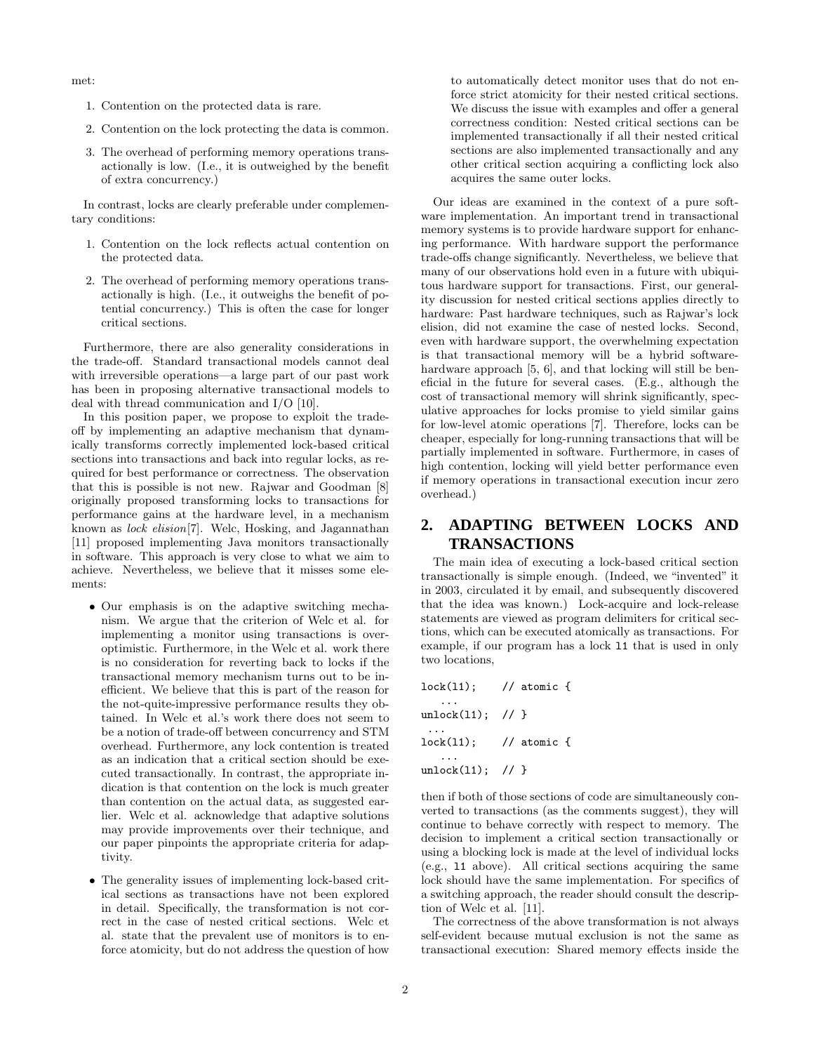met:

- 1. Contention on the protected data is rare.
- 2. Contention on the lock protecting the data is common.
- 3. The overhead of performing memory operations transactionally is low. (I.e., it is outweighed by the benefit of extra concurrency.)

In contrast, locks are clearly preferable under complementary conditions:

- 1. Contention on the lock reflects actual contention on the protected data.
- 2. The overhead of performing memory operations transactionally is high. (I.e., it outweighs the benefit of potential concurrency.) This is often the case for longer critical sections.

Furthermore, there are also generality considerations in the trade-off. Standard transactional models cannot deal with irreversible operations—a large part of our past work has been in proposing alternative transactional models to deal with thread communication and I/O [10].

In this position paper, we propose to exploit the tradeoff by implementing an adaptive mechanism that dynamically transforms correctly implemented lock-based critical sections into transactions and back into regular locks, as required for best performance or correctness. The observation that this is possible is not new. Rajwar and Goodman [8] originally proposed transforming locks to transactions for performance gains at the hardware level, in a mechanism known as lock elision[7]. Welc, Hosking, and Jagannathan [11] proposed implementing Java monitors transactionally in software. This approach is very close to what we aim to achieve. Nevertheless, we believe that it misses some elements:

- Our emphasis is on the adaptive switching mechanism. We argue that the criterion of Welc et al. for implementing a monitor using transactions is overoptimistic. Furthermore, in the Welc et al. work there is no consideration for reverting back to locks if the transactional memory mechanism turns out to be inefficient. We believe that this is part of the reason for the not-quite-impressive performance results they obtained. In Welc et al.'s work there does not seem to be a notion of trade-off between concurrency and STM overhead. Furthermore, any lock contention is treated as an indication that a critical section should be executed transactionally. In contrast, the appropriate indication is that contention on the lock is much greater than contention on the actual data, as suggested earlier. Welc et al. acknowledge that adaptive solutions may provide improvements over their technique, and our paper pinpoints the appropriate criteria for adaptivity.
- The generality issues of implementing lock-based critical sections as transactions have not been explored in detail. Specifically, the transformation is not correct in the case of nested critical sections. Welc et al. state that the prevalent use of monitors is to enforce atomicity, but do not address the question of how

to automatically detect monitor uses that do not enforce strict atomicity for their nested critical sections. We discuss the issue with examples and offer a general correctness condition: Nested critical sections can be implemented transactionally if all their nested critical sections are also implemented transactionally and any other critical section acquiring a conflicting lock also acquires the same outer locks.

Our ideas are examined in the context of a pure software implementation. An important trend in transactional memory systems is to provide hardware support for enhancing performance. With hardware support the performance trade-offs change significantly. Nevertheless, we believe that many of our observations hold even in a future with ubiquitous hardware support for transactions. First, our generality discussion for nested critical sections applies directly to hardware: Past hardware techniques, such as Rajwar's lock elision, did not examine the case of nested locks. Second, even with hardware support, the overwhelming expectation is that transactional memory will be a hybrid softwarehardware approach [5, 6], and that locking will still be beneficial in the future for several cases. (E.g., although the cost of transactional memory will shrink significantly, speculative approaches for locks promise to yield similar gains for low-level atomic operations [7]. Therefore, locks can be cheaper, especially for long-running transactions that will be partially implemented in software. Furthermore, in cases of high contention, locking will yield better performance even if memory operations in transactional execution incur zero overhead.)

# **2. ADAPTING BETWEEN LOCKS AND TRANSACTIONS**

The main idea of executing a lock-based critical section transactionally is simple enough. (Indeed, we "invented" it in 2003, circulated it by email, and subsequently discovered that the idea was known.) Lock-acquire and lock-release statements are viewed as program delimiters for critical sections, which can be executed atomically as transactions. For example, if our program has a lock l1 that is used in only two locations,

| $lock(11)$ ;   | // atomic $\{$          |
|----------------|-------------------------|
| unlock(11); // |                         |
|                | $lock(11);$ // atomic { |
| unlock(11); // |                         |

then if both of those sections of code are simultaneously converted to transactions (as the comments suggest), they will continue to behave correctly with respect to memory. The decision to implement a critical section transactionally or using a blocking lock is made at the level of individual locks (e.g., l1 above). All critical sections acquiring the same lock should have the same implementation. For specifics of a switching approach, the reader should consult the description of Welc et al. [11].

The correctness of the above transformation is not always self-evident because mutual exclusion is not the same as transactional execution: Shared memory effects inside the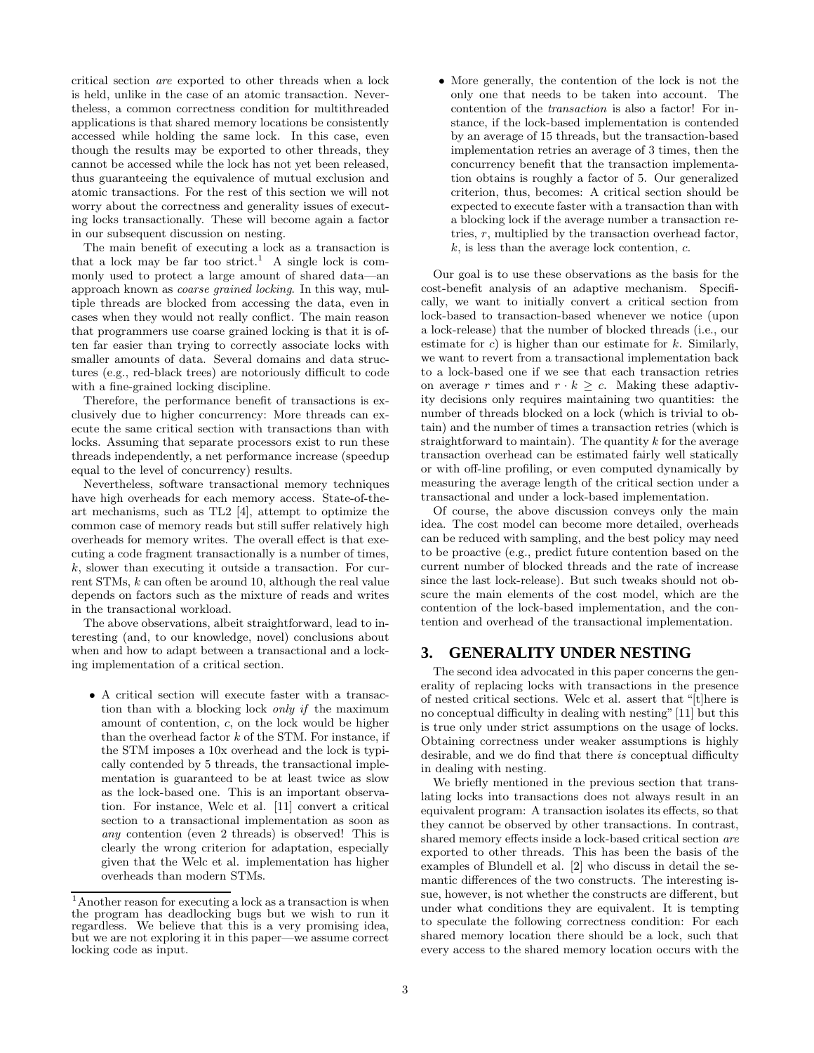critical section are exported to other threads when a lock is held, unlike in the case of an atomic transaction. Nevertheless, a common correctness condition for multithreaded applications is that shared memory locations be consistently accessed while holding the same lock. In this case, even though the results may be exported to other threads, they cannot be accessed while the lock has not yet been released, thus guaranteeing the equivalence of mutual exclusion and atomic transactions. For the rest of this section we will not worry about the correctness and generality issues of executing locks transactionally. These will become again a factor in our subsequent discussion on nesting.

The main benefit of executing a lock as a transaction is that a lock may be far too strict.<sup>1</sup> A single lock is commonly used to protect a large amount of shared data—an approach known as coarse grained locking. In this way, multiple threads are blocked from accessing the data, even in cases when they would not really conflict. The main reason that programmers use coarse grained locking is that it is often far easier than trying to correctly associate locks with smaller amounts of data. Several domains and data structures (e.g., red-black trees) are notoriously difficult to code with a fine-grained locking discipline.

Therefore, the performance benefit of transactions is exclusively due to higher concurrency: More threads can execute the same critical section with transactions than with locks. Assuming that separate processors exist to run these threads independently, a net performance increase (speedup equal to the level of concurrency) results.

Nevertheless, software transactional memory techniques have high overheads for each memory access. State-of-theart mechanisms, such as TL2 [4], attempt to optimize the common case of memory reads but still suffer relatively high overheads for memory writes. The overall effect is that executing a code fragment transactionally is a number of times, k, slower than executing it outside a transaction. For current STMs, k can often be around 10, although the real value depends on factors such as the mixture of reads and writes in the transactional workload.

The above observations, albeit straightforward, lead to interesting (and, to our knowledge, novel) conclusions about when and how to adapt between a transactional and a locking implementation of a critical section.

• A critical section will execute faster with a transaction than with a blocking lock only if the maximum amount of contention, c, on the lock would be higher than the overhead factor  $k$  of the STM. For instance, if the STM imposes a 10x overhead and the lock is typically contended by 5 threads, the transactional implementation is guaranteed to be at least twice as slow as the lock-based one. This is an important observation. For instance, Welc et al. [11] convert a critical section to a transactional implementation as soon as any contention (even 2 threads) is observed! This is clearly the wrong criterion for adaptation, especially given that the Welc et al. implementation has higher overheads than modern STMs.

• More generally, the contention of the lock is not the only one that needs to be taken into account. The contention of the transaction is also a factor! For instance, if the lock-based implementation is contended by an average of 15 threads, but the transaction-based implementation retries an average of 3 times, then the concurrency benefit that the transaction implementation obtains is roughly a factor of 5. Our generalized criterion, thus, becomes: A critical section should be expected to execute faster with a transaction than with a blocking lock if the average number a transaction retries, r, multiplied by the transaction overhead factor,  $k$ , is less than the average lock contention,  $c$ .

Our goal is to use these observations as the basis for the cost-benefit analysis of an adaptive mechanism. Specifically, we want to initially convert a critical section from lock-based to transaction-based whenever we notice (upon a lock-release) that the number of blocked threads (i.e., our estimate for  $c$ ) is higher than our estimate for  $k$ . Similarly, we want to revert from a transactional implementation back to a lock-based one if we see that each transaction retries on average r times and  $r \cdot k \geq c$ . Making these adaptivity decisions only requires maintaining two quantities: the number of threads blocked on a lock (which is trivial to obtain) and the number of times a transaction retries (which is straightforward to maintain). The quantity  $k$  for the average transaction overhead can be estimated fairly well statically or with off-line profiling, or even computed dynamically by measuring the average length of the critical section under a transactional and under a lock-based implementation.

Of course, the above discussion conveys only the main idea. The cost model can become more detailed, overheads can be reduced with sampling, and the best policy may need to be proactive (e.g., predict future contention based on the current number of blocked threads and the rate of increase since the last lock-release). But such tweaks should not obscure the main elements of the cost model, which are the contention of the lock-based implementation, and the contention and overhead of the transactional implementation.

## **3. GENERALITY UNDER NESTING**

The second idea advocated in this paper concerns the generality of replacing locks with transactions in the presence of nested critical sections. Welc et al. assert that "[t]here is no conceptual difficulty in dealing with nesting"[11] but this is true only under strict assumptions on the usage of locks. Obtaining correctness under weaker assumptions is highly desirable, and we do find that there is conceptual difficulty in dealing with nesting.

We briefly mentioned in the previous section that translating locks into transactions does not always result in an equivalent program: A transaction isolates its effects, so that they cannot be observed by other transactions. In contrast, shared memory effects inside a lock-based critical section are exported to other threads. This has been the basis of the examples of Blundell et al. [2] who discuss in detail the semantic differences of the two constructs. The interesting issue, however, is not whether the constructs are different, but under what conditions they are equivalent. It is tempting to speculate the following correctness condition: For each shared memory location there should be a lock, such that every access to the shared memory location occurs with the

<sup>1</sup>Another reason for executing a lock as a transaction is when the program has deadlocking bugs but we wish to run it regardless. We believe that this is a very promising idea, but we are not exploring it in this paper—we assume correct locking code as input.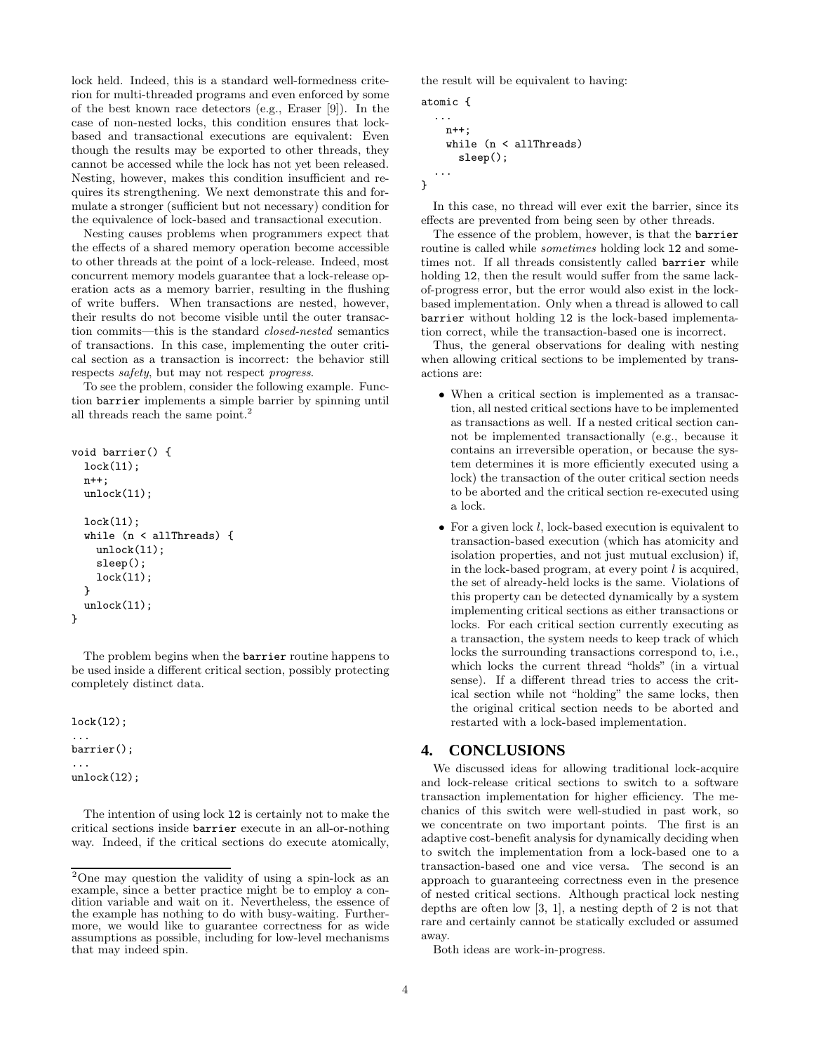lock held. Indeed, this is a standard well-formedness criterion for multi-threaded programs and even enforced by some of the best known race detectors (e.g., Eraser [9]). In the case of non-nested locks, this condition ensures that lockbased and transactional executions are equivalent: Even though the results may be exported to other threads, they cannot be accessed while the lock has not yet been released. Nesting, however, makes this condition insufficient and requires its strengthening. We next demonstrate this and formulate a stronger (sufficient but not necessary) condition for the equivalence of lock-based and transactional execution.

Nesting causes problems when programmers expect that the effects of a shared memory operation become accessible to other threads at the point of a lock-release. Indeed, most concurrent memory models guarantee that a lock-release operation acts as a memory barrier, resulting in the flushing of write buffers. When transactions are nested, however, their results do not become visible until the outer transaction commits—this is the standard closed-nested semantics of transactions. In this case, implementing the outer critical section as a transaction is incorrect: the behavior still respects safety, but may not respect progress.

To see the problem, consider the following example. Function barrier implements a simple barrier by spinning until all threads reach the same point.<sup>2</sup>

```
void barrier() {
  lock(l1);
  n++;
  unlock(11);lock(l1);
  while (n < allThreads) {
    unlock(11);sleep();
    lock(l1);
  }
  unlock(l1);
}
```
The problem begins when the barrier routine happens to be used inside a different critical section, possibly protecting completely distinct data.

lock(l2); ... barrier(); ...  $unlock(12);$ 

The intention of using lock l2 is certainly not to make the critical sections inside barrier execute in an all-or-nothing way. Indeed, if the critical sections do execute atomically, the result will be equivalent to having:

```
atomic {
  ...
    n++:
    while (n < allThreads)
      sleep();
  ...
}
```
In this case, no thread will ever exit the barrier, since its effects are prevented from being seen by other threads.

The essence of the problem, however, is that the barrier routine is called while *sometimes* holding lock 12 and sometimes not. If all threads consistently called barrier while holding 12, then the result would suffer from the same lackof-progress error, but the error would also exist in the lockbased implementation. Only when a thread is allowed to call barrier without holding l2 is the lock-based implementation correct, while the transaction-based one is incorrect.

Thus, the general observations for dealing with nesting when allowing critical sections to be implemented by transactions are:

- When a critical section is implemented as a transaction, all nested critical sections have to be implemented as transactions as well. If a nested critical section cannot be implemented transactionally (e.g., because it contains an irreversible operation, or because the system determines it is more efficiently executed using a lock) the transaction of the outer critical section needs to be aborted and the critical section re-executed using a lock.
- For a given lock  $l$ , lock-based execution is equivalent to transaction-based execution (which has atomicity and isolation properties, and not just mutual exclusion) if, in the lock-based program, at every point  $l$  is acquired, the set of already-held locks is the same. Violations of this property can be detected dynamically by a system implementing critical sections as either transactions or locks. For each critical section currently executing as a transaction, the system needs to keep track of which locks the surrounding transactions correspond to, i.e., which locks the current thread "holds" (in a virtual sense). If a different thread tries to access the critical section while not "holding" the same locks, then the original critical section needs to be aborted and restarted with a lock-based implementation.

#### **4. CONCLUSIONS**

We discussed ideas for allowing traditional lock-acquire and lock-release critical sections to switch to a software transaction implementation for higher efficiency. The mechanics of this switch were well-studied in past work, so we concentrate on two important points. The first is an adaptive cost-benefit analysis for dynamically deciding when to switch the implementation from a lock-based one to a transaction-based one and vice versa. The second is an approach to guaranteeing correctness even in the presence of nested critical sections. Although practical lock nesting depths are often low [3, 1], a nesting depth of 2 is not that rare and certainly cannot be statically excluded or assumed away.

Both ideas are work-in-progress.

<sup>2</sup>One may question the validity of using a spin-lock as an example, since a better practice might be to employ a condition variable and wait on it. Nevertheless, the essence of the example has nothing to do with busy-waiting. Furthermore, we would like to guarantee correctness for as wide assumptions as possible, including for low-level mechanisms that may indeed spin.